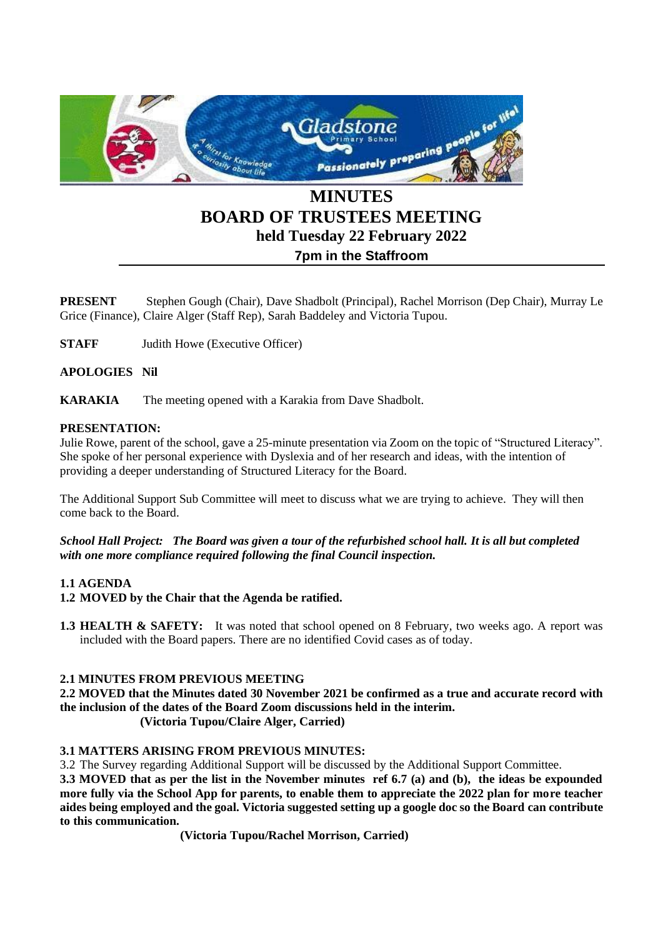

# **BOARD OF TRUSTEES MEETING held Tuesday 22 February 2022 7pm in the Staffroom**

**PRESENT** Stephen Gough (Chair), Dave Shadbolt (Principal), Rachel Morrison (Dep Chair), Murray Le Grice (Finance), Claire Alger (Staff Rep), Sarah Baddeley and Victoria Tupou.

**STAFF** Judith Howe (Executive Officer)

## **APOLOGIES Nil**

**KARAKIA** The meeting opened with a Karakia from Dave Shadbolt.

## **PRESENTATION:**

Julie Rowe, parent of the school, gave a 25-minute presentation via Zoom on the topic of "Structured Literacy". She spoke of her personal experience with Dyslexia and of her research and ideas, with the intention of providing a deeper understanding of Structured Literacy for the Board.

The Additional Support Sub Committee will meet to discuss what we are trying to achieve. They will then come back to the Board.

*School Hall Project: The Board was given a tour of the refurbished school hall. It is all but completed with one more compliance required following the final Council inspection.*

# **1.1 AGENDA**

- **1.2 MOVED by the Chair that the Agenda be ratified.**
- **1.3 HEALTH & SAFETY:** It was noted that school opened on 8 February, two weeks ago. A report was included with the Board papers. There are no identified Covid cases as of today.

# **2.1 MINUTES FROM PREVIOUS MEETING**

**2.2 MOVED that the Minutes dated 30 November 2021 be confirmed as a true and accurate record with the inclusion of the dates of the Board Zoom discussions held in the interim.**

**(Victoria Tupou/Claire Alger, Carried)**

# **3.1 MATTERS ARISING FROM PREVIOUS MINUTES:**

3.2 The Survey regarding Additional Support will be discussed by the Additional Support Committee.

**3.3 MOVED that as per the list in the November minutes ref 6.7 (a) and (b), the ideas be expounded more fully via the School App for parents, to enable them to appreciate the 2022 plan for more teacher aides being employed and the goal. Victoria suggested setting up a google doc so the Board can contribute to this communication.**

**(Victoria Tupou/Rachel Morrison, Carried)**